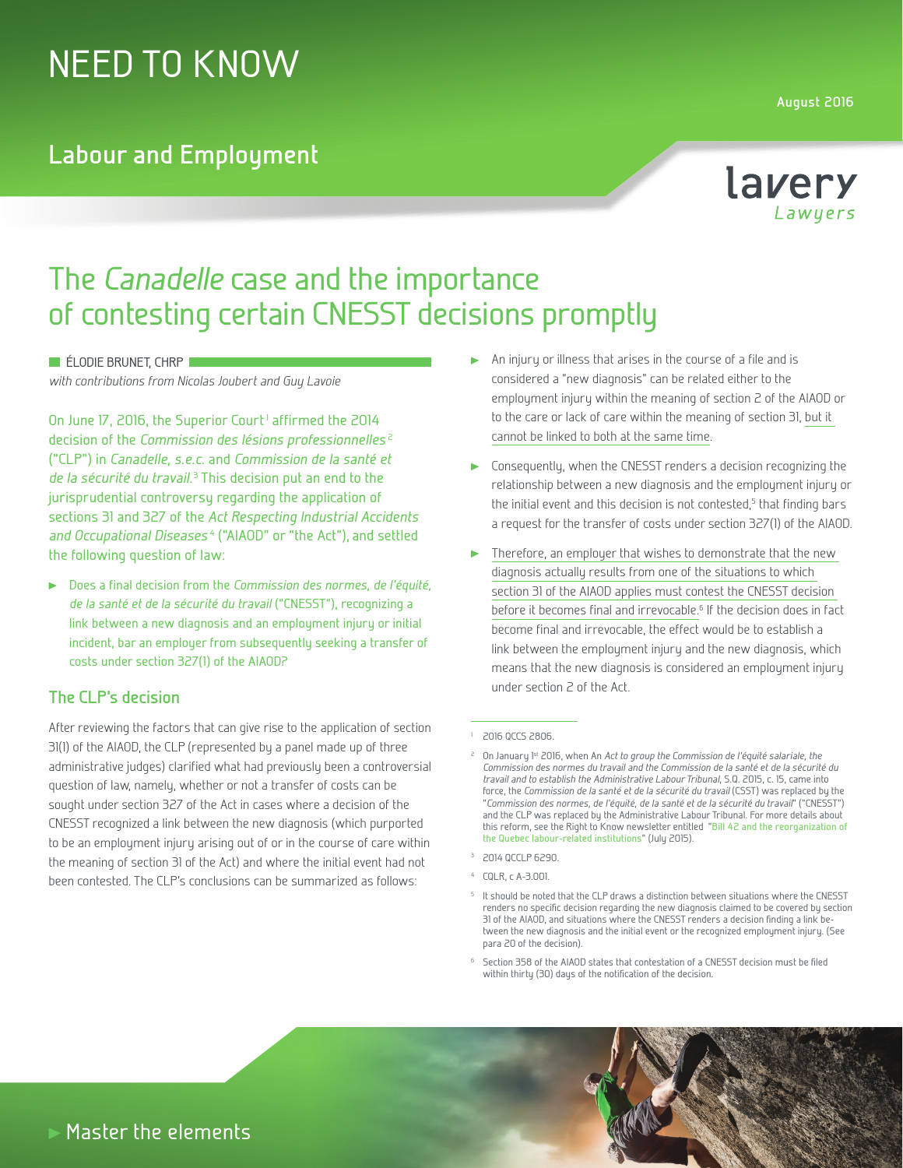# NEED TO KNOW

### **Labour and Employment**

**August 2016**



## The Canadelle case and the importance of contesting certain CNESST decisions promptly

**ELODIE BRUNET, CHRP** 

with contributions from Nicolas Joubert and Guy Lavoie

On June 17, 2016, the Superior Court<sup>1</sup> affirmed the 2014 decision of the Commission des lésions professionnelles<sup>2</sup> ("CLP") in Canadelle, s.e.c. and Commission de la santé et de la sécurité du travail.<sup>3</sup> This decision put an end to the jurisprudential controversy regarding the application of sections 31 and 327 of the Act Respecting Industrial Accidents and Occupational Diseases<sup>4</sup> ("AIAOD" or "the Act"), and settled the following question of law:

Does a final decision from the Commission des normes, de l'équité, de la santé et de la sécurité du travail ("CNESST"), recognizing a link between a new diagnosis and an employment injury or initial incident, bar an employer from subsequently seeking a transfer of costs under section 327(1) of the AIAOD?

#### **The CLP's decision**

After reviewing the factors that can give rise to the application of section 31(1) of the AIAOD, the CLP (represented by a panel made up of three administrative judges) clarified what had previously been a controversial question of law, namely, whether or not a transfer of costs can be sought under section 327 of the Act in cases where a decision of the CNESST recognized a link between the new diagnosis (which purported to be an employment injury arising out of or in the course of care within the meaning of section 31 of the Act) and where the initial event had not been contested. The CLP's conclusions can be summarized as follows:

- An injury or illness that arises in the course of a file and is considered a "new diagnosis" can be related either to the employment injury within the meaning of section 2 of the AIAOD or to the care or lack of care within the meaning of section 31, but it cannot be linked to both at the same time.
- Consequently, when the CNESST renders a decision recognizing the relationship between a new diagnosis and the employment injury or the initial event and this decision is not contested,<sup>5</sup> that finding bars a request for the transfer of costs under section 327(1) of the AIAOD.
- Therefore, an employer that wishes to demonstrate that the new diagnosis actually results from one of the situations to which section 31 of the AIAOD applies must contest the CNESST decision before it becomes final and irrevocable.<sup>6</sup> If the decision does in fact become final and irrevocable, the effect would be to establish a link between the employment injury and the new diagnosis, which means that the new diagnosis is considered an employment injury under section 2 of the Act.

#### <sup>1</sup> 2016 QCCS 2806.

- <sup>3</sup> 2014 QCCLP 6290.
- <sup>4</sup> CQLR, c A-3.001.
- <sup>5</sup> It should be noted that the CLP draws a distinction between situations where the CNESST renders no specific decision regarding the new diagnosis claimed to be covered by section 31 of the AIAOD, and situations where the CNESST renders a decision finding a link between the new diagnosis and the initial event or the recognized employment injury. (See para 20 of the decision).
- <sup>6</sup> Section 358 of the AIAOD states that contestation of a CNESST decision must be filed within thirty (30) days of the notification of the decision.

On January 1st 2016, when An Act to group the Commission de l'équité salariale, the Commission des normes du travail and the Commission de la santé et de la sécurité du travail and to establish the Administrative Labour Tribunal, S.Q. 2015, c. 15, came into force, the Commission de la santé et de la sécurité du travail (CSST) was replaced by the "Commission des normes, de l'équité, de la santé et de la sécurité du travail" ("CNESST") and the CLP was replaced by the Administrative Labour Tribunal. For more details about this reform, see the Right to Know newsletter entitled "**[Bill 42 and the reorganization of](http://www.lavery.ca/en/publications/our-publications/1875-bill-42-and-the-reorganization-of-the-quebec-labour-related-institutions.html)  [the Quebec labour-related institutions](http://www.lavery.ca/en/publications/our-publications/1875-bill-42-and-the-reorganization-of-the-quebec-labour-related-institutions.html)**" (July 2015).